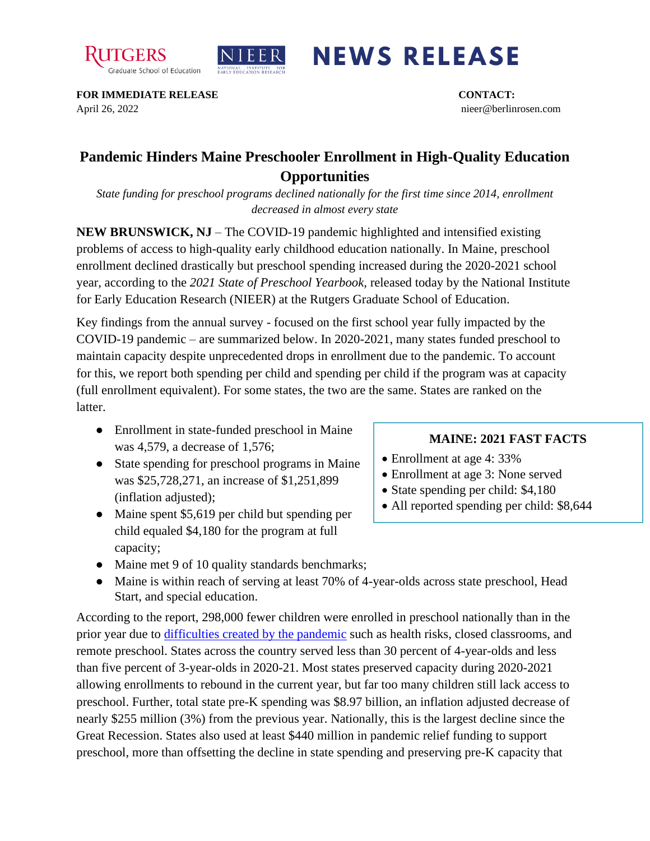



## **NEWS RELEASE**

**FOR IMMEDIATE RELEASE CONTACT:**  April 26, 2022 nieer@berlinrosen.com

## **Pandemic Hinders Maine Preschooler Enrollment in High-Quality Education Opportunities**

*State funding for preschool programs declined nationally for the first time since 2014, enrollment decreased in almost every state*

**NEW BRUNSWICK, NJ** – The COVID-19 pandemic highlighted and intensified existing problems of access to high-quality early childhood education nationally. In Maine, preschool enrollment declined drastically but preschool spending increased during the 2020-2021 school year, according to the *2021 State of Preschool Yearbook,* released today by the National Institute for Early Education Research (NIEER) at the Rutgers Graduate School of Education.

Key findings from the annual survey - focused on the first school year fully impacted by the COVID-19 pandemic – are summarized below. In 2020-2021, many states funded preschool to maintain capacity despite unprecedented drops in enrollment due to the pandemic. To account for this, we report both spending per child and spending per child if the program was at capacity (full enrollment equivalent). For some states, the two are the same. States are ranked on the latter.

- Enrollment in state-funded preschool in Maine was 4,579, a decrease of 1,576;
- State spending for preschool programs in Maine was \$25,728,271, an increase of \$1,251,899 (inflation adjusted);
- Maine spent \$5,619 per child but spending per child equaled \$4,180 for the program at full capacity;
- Maine met 9 of 10 quality standards benchmarks;
- Maine is within reach of serving at least 70% of 4-year-olds across state preschool, Head Start, and special education.

According to the report, 298,000 fewer children were enrolled in preschool nationally than in the prior year due to [difficulties created by the pandemic](https://nieer.org/wp-content/uploads/2021/02/NIEER_Seven_Impacts_of_the_Pandemic_on_Young_Children_and_their_Parents.pdf) such as health risks, closed classrooms, and remote preschool. States across the country served less than 30 percent of 4-year-olds and less than five percent of 3-year-olds in 2020-21. Most states preserved capacity during 2020-2021 allowing enrollments to rebound in the current year, but far too many children still lack access to preschool. Further, total state pre-K spending was \$8.97 billion, an inflation adjusted decrease of nearly \$255 million (3%) from the previous year. Nationally, this is the largest decline since the Great Recession. States also used at least \$440 million in pandemic relief funding to support preschool, more than offsetting the decline in state spending and preserving pre-K capacity that

## **MAINE: 2021 FAST FACTS**

- Enrollment at age 4:33%
- Enrollment at age 3: None served
- State spending per child: \$4,180
- All reported spending per child: \$8,644